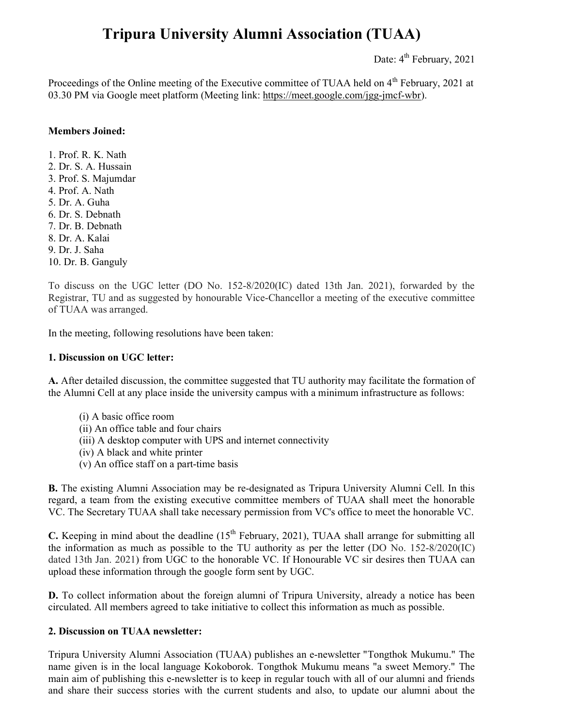# Tripura University Alumni Association (TUAA)

Date:  $4^{th}$  February, 2021

Proceedings of the Online meeting of the Executive committee of TUAA held on  $4<sup>th</sup>$  February, 2021 at 03.30 PM via Google meet platform (Meeting link: https://meet.google.com/jgg-jmcf-wbr).

# Members Joined:

1. Prof. R. K. Nath 2. Dr. S. A. Hussain 3. Prof. S. Majumdar 4. Prof. A. Nath 5. Dr. A. Guha 6. Dr. S. Debnath 7. Dr. B. Debnath 8. Dr. A. Kalai 9. Dr. J. Saha 10. Dr. B. Ganguly

To discuss on the UGC letter (DO No. 152-8/2020(IC) dated 13th Jan. 2021), forwarded by the Registrar, TU and as suggested by honourable Vice-Chancellor a meeting of the executive committee of TUAA was arranged.

In the meeting, following resolutions have been taken:

### 1. Discussion on UGC letter:

A. After detailed discussion, the committee suggested that TU authority may facilitate the formation of the Alumni Cell at any place inside the university campus with a minimum infrastructure as follows:

- (i) A basic office room
- (ii) An office table and four chairs
- (iii) A desktop computer with UPS and internet connectivity
- (iv) A black and white printer
- (v) An office staff on a part-time basis

B. The existing Alumni Association may be re-designated as Tripura University Alumni Cell. In this regard, a team from the existing executive committee members of TUAA shall meet the honorable VC. The Secretary TUAA shall take necessary permission from VC's office to meet the honorable VC.

C. Keeping in mind about the deadline  $(15<sup>th</sup>$  February, 2021), TUAA shall arrange for submitting all the information as much as possible to the TU authority as per the letter (DO No. 152-8/2020(IC) dated 13th Jan. 2021) from UGC to the honorable VC. If Honourable VC sir desires then TUAA can upload these information through the google form sent by UGC.

D. To collect information about the foreign alumni of Tripura University, already a notice has been circulated. All members agreed to take initiative to collect this information as much as possible.

### 2. Discussion on TUAA newsletter:

Tripura University Alumni Association (TUAA) publishes an e-newsletter "Tongthok Mukumu." The name given is in the local language Kokoborok. Tongthok Mukumu means "a sweet Memory." The main aim of publishing this e-newsletter is to keep in regular touch with all of our alumni and friends and share their success stories with the current students and also, to update our alumni about the